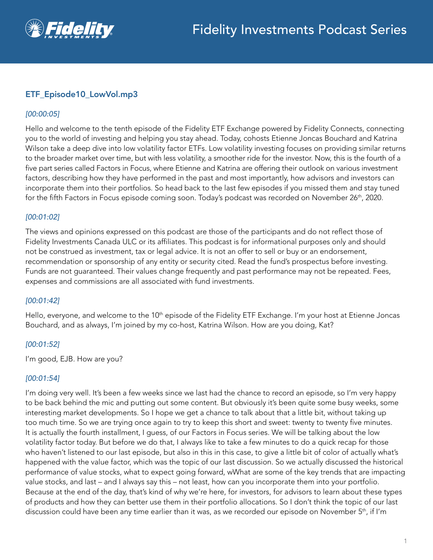

# ETF\_Episode10\_LowVol.mp3

## *[00:00:05]*

Hello and welcome to the tenth episode of the Fidelity ETF Exchange powered by Fidelity Connects, connecting you to the world of investing and helping you stay ahead. Today, cohosts Etienne Joncas Bouchard and Katrina Wilson take a deep dive into low volatility factor ETFs. Low volatility investing focuses on providing similar returns to the broader market over time, but with less volatility, a smoother ride for the investor. Now, this is the fourth of a five part series called Factors in Focus, where Etienne and Katrina are offering their outlook on various investment factors, describing how they have performed in the past and most importantly, how advisors and investors can incorporate them into their portfolios. So head back to the last few episodes if you missed them and stay tuned for the fifth Factors in Focus episode coming soon. Today's podcast was recorded on November 26<sup>th</sup>, 2020.

## *[00:01:02]*

The views and opinions expressed on this podcast are those of the participants and do not reflect those of Fidelity Investments Canada ULC or its affiliates. This podcast is for informational purposes only and should not be construed as investment, tax or legal advice. It is not an offer to sell or buy or an endorsement, recommendation or sponsorship of any entity or security cited. Read the fund's prospectus before investing. Funds are not guaranteed. Their values change frequently and past performance may not be repeated. Fees, expenses and commissions are all associated with fund investments.

#### *[00:01:42]*

Hello, everyone, and welcome to the 10<sup>th</sup> episode of the Fidelity ETF Exchange. I'm your host at Etienne Joncas Bouchard, and as always, I'm joined by my co-host, Katrina Wilson. How are you doing, Kat?

# *[00:01:52]*

I'm good, EJB. How are you?

#### *[00:01:54]*

I'm doing very well. It's been a few weeks since we last had the chance to record an episode, so I'm very happy to be back behind the mic and putting out some content. But obviously it's been quite some busy weeks, some interesting market developments. So I hope we get a chance to talk about that a little bit, without taking up too much time. So we are trying once again to try to keep this short and sweet: twenty to twenty five minutes. It is actually the fourth installment, I guess, of our Factors in Focus series. We will be talking about the low volatility factor today. But before we do that, I always like to take a few minutes to do a quick recap for those who haven't listened to our last episode, but also in this in this case, to give a little bit of color of actually what's happened with the value factor, which was the topic of our last discussion. So we actually discussed the historical performance of value stocks, what to expect going forward, wWhat are some of the key trends that are impacting value stocks, and last – and I always say this – not least, how can you incorporate them into your portfolio. Because at the end of the day, that's kind of why we're here, for investors, for advisors to learn about these types of products and how they can better use them in their portfolio allocations. So I don't think the topic of our last discussion could have been any time earlier than it was, as we recorded our episode on November 5<sup>th</sup>, if I'm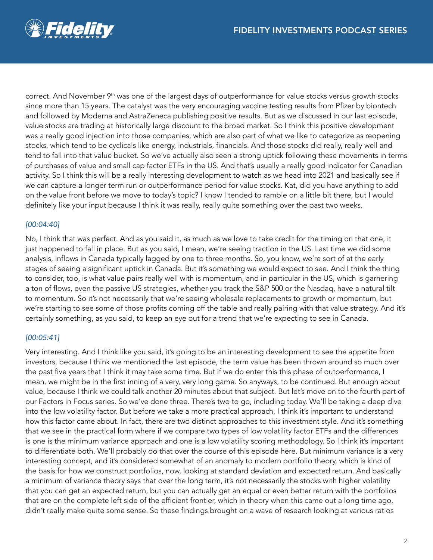

correct. And November 9<sup>th</sup> was one of the largest days of outperformance for value stocks versus growth stocks since more than 15 years. The catalyst was the very encouraging vaccine testing results from Pfizer by biontech and followed by Moderna and AstraZeneca publishing positive results. But as we discussed in our last episode, value stocks are trading at historically large discount to the broad market. So I think this positive development was a really good injection into those companies, which are also part of what we like to categorize as reopening stocks, which tend to be cyclicals like energy, industrials, financials. And those stocks did really, really well and tend to fall into that value bucket. So we've actually also seen a strong uptick following these movements in terms of purchases of value and small cap factor ETFs in the US. And that's usually a really good indicator for Canadian activity. So I think this will be a really interesting development to watch as we head into 2021 and basically see if we can capture a longer term run or outperformance period for value stocks. Kat, did you have anything to add on the value front before we move to today's topic? I know I tended to ramble on a little bit there, but I would definitely like your input because I think it was really, really quite something over the past two weeks.

# *[00:04:40]*

No, I think that was perfect. And as you said it, as much as we love to take credit for the timing on that one, it just happened to fall in place. But as you said, I mean, we're seeing traction in the US. Last time we did some analysis, inflows in Canada typically lagged by one to three months. So, you know, we're sort of at the early stages of seeing a significant uptick in Canada. But it's something we would expect to see. And I think the thing to consider, too, is what value pairs really well with is momentum, and in particular in the US, which is garnering a ton of flows, even the passive US strategies, whether you track the S&P 500 or the Nasdaq, have a natural tilt to momentum. So it's not necessarily that we're seeing wholesale replacements to growth or momentum, but we're starting to see some of those profits coming off the table and really pairing with that value strategy. And it's certainly something, as you said, to keep an eye out for a trend that we're expecting to see in Canada.

# *[00:05:41]*

Very interesting. And I think like you said, it's going to be an interesting development to see the appetite from investors, because I think we mentioned the last episode, the term value has been thrown around so much over the past five years that I think it may take some time. But if we do enter this this phase of outperformance, I mean, we might be in the first inning of a very, very long game. So anyways, to be continued. But enough about value, because I think we could talk another 20 minutes about that subject. But let's move on to the fourth part of our Factors in Focus series. So we've done three. There's two to go, including today. We'll be taking a deep dive into the low volatility factor. But before we take a more practical approach, I think it's important to understand how this factor came about. In fact, there are two distinct approaches to this investment style. And it's something that we see in the practical form where if we compare two types of low volatility factor ETFs and the differences is one is the minimum variance approach and one is a low volatility scoring methodology. So I think it's important to differentiate both. We'll probably do that over the course of this episode here. But minimum variance is a very interesting concept, and it's considered somewhat of an anomaly to modern portfolio theory, which is kind of the basis for how we construct portfolios, now, looking at standard deviation and expected return. And basically a minimum of variance theory says that over the long term, it's not necessarily the stocks with higher volatility that you can get an expected return, but you can actually get an equal or even better return with the portfolios that are on the complete left side of the efficient frontier, which in theory when this came out a long time ago, didn't really make quite some sense. So these findings brought on a wave of research looking at various ratios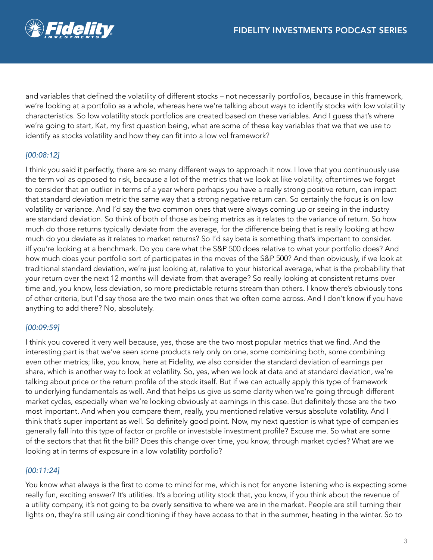

and variables that defined the volatility of different stocks – not necessarily portfolios, because in this framework, we're looking at a portfolio as a whole, whereas here we're talking about ways to identify stocks with low volatility characteristics. So low volatility stock portfolios are created based on these variables. And I guess that's where we're going to start, Kat, my first question being, what are some of these key variables that we that we use to identify as stocks volatility and how they can fit into a low vol framework?

# *[00:08:12]*

I think you said it perfectly, there are so many different ways to approach it now. I love that you continuously use the term vol as opposed to risk, because a lot of the metrics that we look at like volatility, oftentimes we forget to consider that an outlier in terms of a year where perhaps you have a really strong positive return, can impact that standard deviation metric the same way that a strong negative return can. So certainly the focus is on low volatility or variance. And I'd say the two common ones that were always coming up or seeing in the industry are standard deviation. So think of both of those as being metrics as it relates to the variance of return. So how much do those returns typically deviate from the average, for the difference being that is really looking at how much do you deviate as it relates to market returns? So I'd say beta is something that's important to consider. ilf you're looking at a benchmark. Do you care what the S&P 500 does relative to what your portfolio does? And how much does your portfolio sort of participates in the moves of the S&P 500? And then obviously, if we look at traditional standard deviation, we're just looking at, relative to your historical average, what is the probability that your return over the next 12 months will deviate from that average? So really looking at consistent returns over time and, you know, less deviation, so more predictable returns stream than others. I know there's obviously tons of other criteria, but I'd say those are the two main ones that we often come across. And I don't know if you have anything to add there? No, absolutely.

#### *[00:09:59]*

I think you covered it very well because, yes, those are the two most popular metrics that we find. And the interesting part is that we've seen some products rely only on one, some combining both, some combining even other metrics; like, you know, here at Fidelity, we also consider the standard deviation of earnings per share, which is another way to look at volatility. So, yes, when we look at data and at standard deviation, we're talking about price or the return profile of the stock itself. But if we can actually apply this type of framework to underlying fundamentals as well. And that helps us give us some clarity when we're going through different market cycles, especially when we're looking obviously at earnings in this case. But definitely those are the two most important. And when you compare them, really, you mentioned relative versus absolute volatility. And I think that's super important as well. So definitely good point. Now, my next question is what type of companies generally fall into this type of factor or profile or investable investment profile? Excuse me. So what are some of the sectors that that fit the bill? Does this change over time, you know, through market cycles? What are we looking at in terms of exposure in a low volatility portfolio?

# *[00:11:24]*

You know what always is the first to come to mind for me, which is not for anyone listening who is expecting some really fun, exciting answer? It's utilities. It's a boring utility stock that, you know, if you think about the revenue of a utility company, it's not going to be overly sensitive to where we are in the market. People are still turning their lights on, they're still using air conditioning if they have access to that in the summer, heating in the winter. So to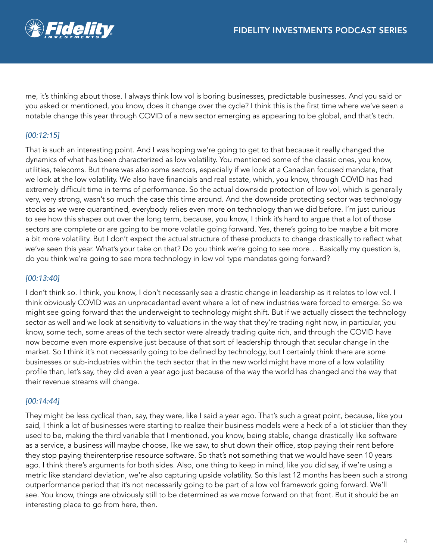me, it's thinking about those. I always think low vol is boring businesses, predictable businesses. And you said or you asked or mentioned, you know, does it change over the cycle? I think this is the first time where we've seen a notable change this year through COVID of a new sector emerging as appearing to be global, and that's tech.

# *[00:12:15]*

That is such an interesting point. And I was hoping we're going to get to that because it really changed the dynamics of what has been characterized as low volatility. You mentioned some of the classic ones, you know, utilities, telecoms. But there was also some sectors, especially if we look at a Canadian focused mandate, that we look at the low volatility. We also have financials and real estate, which, you know, through COVID has had extremely difficult time in terms of performance. So the actual downside protection of low vol, which is generally very, very strong, wasn't so much the case this time around. And the downside protecting sector was technology stocks as we were quarantined, everybody relies even more on technology than we did before. I'm just curious to see how this shapes out over the long term, because, you know, I think it's hard to argue that a lot of those sectors are complete or are going to be more volatile going forward. Yes, there's going to be maybe a bit more a bit more volatility. But I don't expect the actual structure of these products to change drastically to reflect what we've seen this year. What's your take on that? Do you think we're going to see more… Basically my question is, do you think we're going to see more technology in low vol type mandates going forward?

# *[00:13:40]*

I don't think so. I think, you know, I don't necessarily see a drastic change in leadership as it relates to low vol. I think obviously COVID was an unprecedented event where a lot of new industries were forced to emerge. So we might see going forward that the underweight to technology might shift. But if we actually dissect the technology sector as well and we look at sensitivity to valuations in the way that they're trading right now, in particular, you know, some tech, some areas of the tech sector were already trading quite rich, and through the COVID have now become even more expensive just because of that sort of leadership through that secular change in the market. So I think it's not necessarily going to be defined by technology, but I certainly think there are some businesses or sub-industries within the tech sector that in the new world might have more of a low volatility profile than, let's say, they did even a year ago just because of the way the world has changed and the way that their revenue streams will change.

# *[00:14:44]*

They might be less cyclical than, say, they were, like I said a year ago. That's such a great point, because, like you said, I think a lot of businesses were starting to realize their business models were a heck of a lot stickier than they used to be, making the third variable that I mentioned, you know, being stable, change drastically like software as a service, a business will maybe choose, like we saw, to shut down their office, stop paying their rent before they stop paying theirenterprise resource software. So that's not something that we would have seen 10 years ago. I think there's arguments for both sides. Also, one thing to keep in mind, like you did say, if we're using a metric like standard deviation, we're also capturing upside volatility. So this last 12 months has been such a strong outperformance period that it's not necessarily going to be part of a low vol framework going forward. We'll see. You know, things are obviously still to be determined as we move forward on that front. But it should be an interesting place to go from here, then.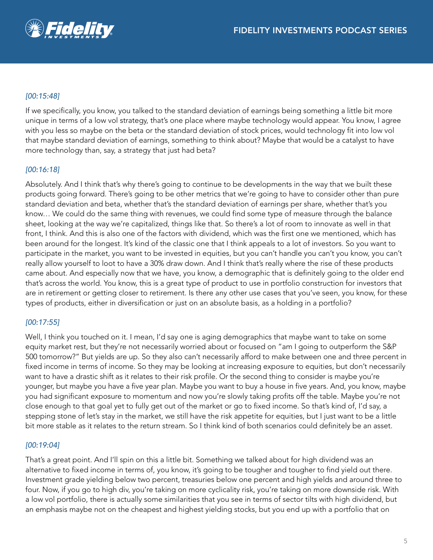

# *[00:15:48]*

If we specifically, you know, you talked to the standard deviation of earnings being something a little bit more unique in terms of a low vol strategy, that's one place where maybe technology would appear. You know, I agree with you less so maybe on the beta or the standard deviation of stock prices, would technology fit into low vol that maybe standard deviation of earnings, something to think about? Maybe that would be a catalyst to have more technology than, say, a strategy that just had beta?

## *[00:16:18]*

Absolutely. And I think that's why there's going to continue to be developments in the way that we built these products going forward. There's going to be other metrics that we're going to have to consider other than pure standard deviation and beta, whether that's the standard deviation of earnings per share, whether that's you know… We could do the same thing with revenues, we could find some type of measure through the balance sheet, looking at the way we're capitalized, things like that. So there's a lot of room to innovate as well in that front, I think. And this is also one of the factors with dividend, which was the first one we mentioned, which has been around for the longest. It's kind of the classic one that I think appeals to a lot of investors. So you want to participate in the market, you want to be invested in equities, but you can't handle you can't you know, you can't really allow yourself to loot to have a 30% draw down. And I think that's really where the rise of these products came about. And especially now that we have, you know, a demographic that is definitely going to the older end that's across the world. You know, this is a great type of product to use in portfolio construction for investors that are in retirement or getting closer to retirement. Is there any other use cases that you've seen, you know, for these types of products, either in diversification or just on an absolute basis, as a holding in a portfolio?

#### *[00:17:55]*

Well, I think you touched on it. I mean, I'd say one is aging demographics that maybe want to take on some equity market rest, but they're not necessarily worried about or focused on "am I going to outperform the S&P 500 tomorrow?" But yields are up. So they also can't necessarily afford to make between one and three percent in fixed income in terms of income. So they may be looking at increasing exposure to equities, but don't necessarily want to have a drastic shift as it relates to their risk profile. Or the second thing to consider is maybe you're younger, but maybe you have a five year plan. Maybe you want to buy a house in five years. And, you know, maybe you had significant exposure to momentum and now you're slowly taking profits off the table. Maybe you're not close enough to that goal yet to fully get out of the market or go to fixed income. So that's kind of, I'd say, a stepping stone of let's stay in the market, we still have the risk appetite for equities, but I just want to be a little bit more stable as it relates to the return stream. So I think kind of both scenarios could definitely be an asset.

#### *[00:19:04]*

That's a great point. And I'll spin on this a little bit. Something we talked about for high dividend was an alternative to fixed income in terms of, you know, it's going to be tougher and tougher to find yield out there. Investment grade yielding below two percent, treasuries below one percent and high yields and around three to four. Now, if you go to high div, you're taking on more cyclicality risk, you're taking on more downside risk. With a low vol portfolio, there is actually some similarities that you see in terms of sector tilts with high dividend, but an emphasis maybe not on the cheapest and highest yielding stocks, but you end up with a portfolio that on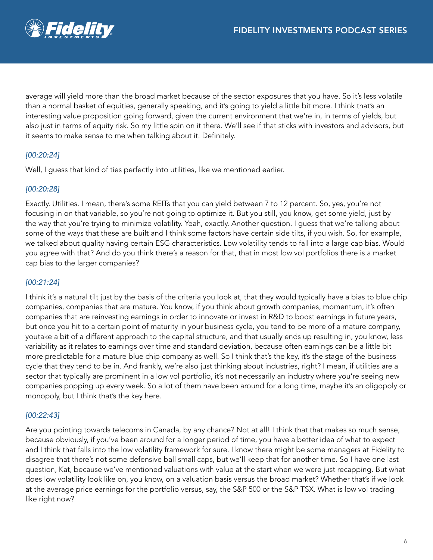

average will yield more than the broad market because of the sector exposures that you have. So it's less volatile than a normal basket of equities, generally speaking, and it's going to yield a little bit more. I think that's an interesting value proposition going forward, given the current environment that we're in, in terms of yields, but also just in terms of equity risk. So my little spin on it there. We'll see if that sticks with investors and advisors, but it seems to make sense to me when talking about it. Definitely.

# *[00:20:24]*

Well, I guess that kind of ties perfectly into utilities, like we mentioned earlier.

## *[00:20:28]*

Exactly. Utilities. I mean, there's some REITs that you can yield between 7 to 12 percent. So, yes, you're not focusing in on that variable, so you're not going to optimize it. But you still, you know, get some yield, just by the way that you're trying to minimize volatility. Yeah, exactly. Another question. I guess that we're talking about some of the ways that these are built and I think some factors have certain side tilts, if you wish. So, for example, we talked about quality having certain ESG characteristics. Low volatility tends to fall into a large cap bias. Would you agree with that? And do you think there's a reason for that, that in most low vol portfolios there is a market cap bias to the larger companies?

# *[00:21:24]*

I think it's a natural tilt just by the basis of the criteria you look at, that they would typically have a bias to blue chip companies, companies that are mature. You know, if you think about growth companies, momentum, it's often companies that are reinvesting earnings in order to innovate or invest in R&D to boost earnings in future years, but once you hit to a certain point of maturity in your business cycle, you tend to be more of a mature company, youtake a bit of a different approach to the capital structure, and that usually ends up resulting in, you know, less variability as it relates to earnings over time and standard deviation, because often earnings can be a little bit more predictable for a mature blue chip company as well. So I think that's the key, it's the stage of the business cycle that they tend to be in. And frankly, we're also just thinking about industries, right? I mean, if utilities are a sector that typically are prominent in a low vol portfolio, it's not necessarily an industry where you're seeing new companies popping up every week. So a lot of them have been around for a long time, maybe it's an oligopoly or monopoly, but I think that's the key here.

#### *[00:22:43]*

Are you pointing towards telecoms in Canada, by any chance? Not at all! I think that that makes so much sense, because obviously, if you've been around for a longer period of time, you have a better idea of what to expect and I think that falls into the low volatility framework for sure. I know there might be some managers at Fidelity to disagree that there's not some defensive ball small caps, but we'll keep that for another time. So I have one last question, Kat, because we've mentioned valuations with value at the start when we were just recapping. But what does low volatility look like on, you know, on a valuation basis versus the broad market? Whether that's if we look at the average price earnings for the portfolio versus, say, the S&P 500 or the S&P TSX. What is low vol trading like right now?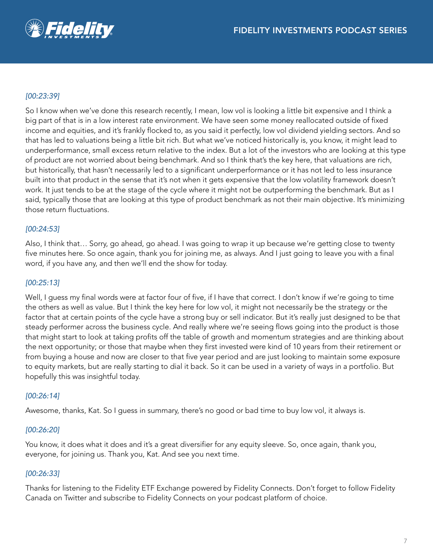

## *[00:23:39]*

So I know when we've done this research recently, I mean, low vol is looking a little bit expensive and I think a big part of that is in a low interest rate environment. We have seen some money reallocated outside of fixed income and equities, and it's frankly flocked to, as you said it perfectly, low vol dividend yielding sectors. And so that has led to valuations being a little bit rich. But what we've noticed historically is, you know, it might lead to underperformance, small excess return relative to the index. But a lot of the investors who are looking at this type of product are not worried about being benchmark. And so I think that's the key here, that valuations are rich, but historically, that hasn't necessarily led to a significant underperformance or it has not led to less insurance built into that product in the sense that it's not when it gets expensive that the low volatility framework doesn't work. It just tends to be at the stage of the cycle where it might not be outperforming the benchmark. But as I said, typically those that are looking at this type of product benchmark as not their main objective. It's minimizing those return fluctuations.

#### *[00:24:53]*

Also, I think that… Sorry, go ahead, go ahead. I was going to wrap it up because we're getting close to twenty five minutes here. So once again, thank you for joining me, as always. And I just going to leave you with a final word, if you have any, and then we'll end the show for today.

#### *[00:25:13]*

Well, I guess my final words were at factor four of five, if I have that correct. I don't know if we're going to time the others as well as value. But I think the key here for low vol, it might not necessarily be the strategy or the factor that at certain points of the cycle have a strong buy or sell indicator. But it's really just designed to be that steady performer across the business cycle. And really where we're seeing flows going into the product is those that might start to look at taking profits off the table of growth and momentum strategies and are thinking about the next opportunity; or those that maybe when they first invested were kind of 10 years from their retirement or from buying a house and now are closer to that five year period and are just looking to maintain some exposure to equity markets, but are really starting to dial it back. So it can be used in a variety of ways in a portfolio. But hopefully this was insightful today.

#### *[00:26:14]*

Awesome, thanks, Kat. So I guess in summary, there's no good or bad time to buy low vol, it always is.

#### *[00:26:20]*

You know, it does what it does and it's a great diversifier for any equity sleeve. So, once again, thank you, everyone, for joining us. Thank you, Kat. And see you next time.

#### *[00:26:33]*

Thanks for listening to the Fidelity ETF Exchange powered by Fidelity Connects. Don't forget to follow Fidelity Canada on Twitter and subscribe to Fidelity Connects on your podcast platform of choice.